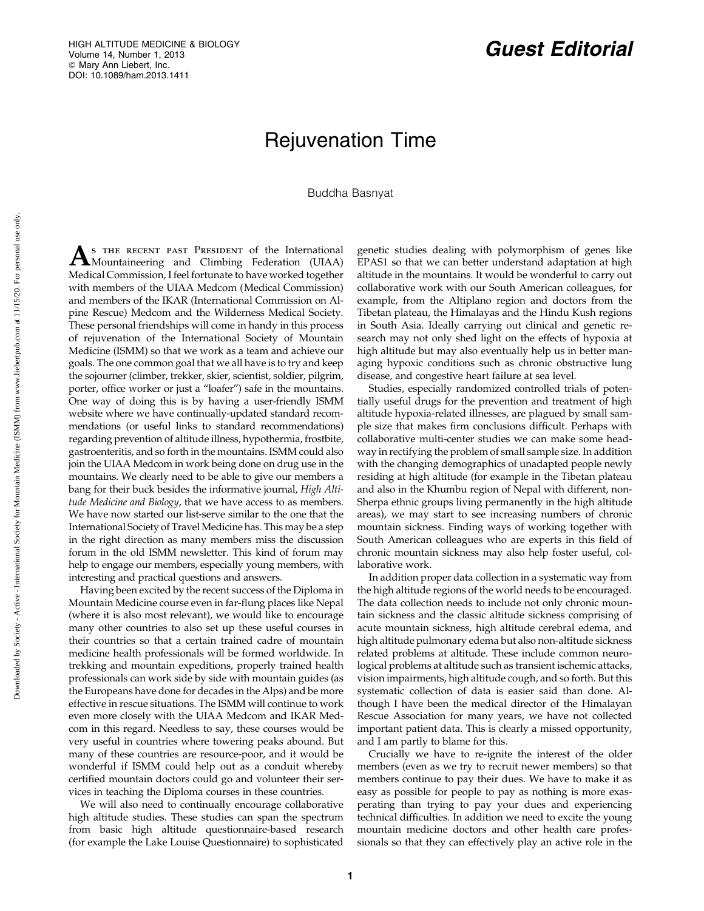## Guest Editorial

## Rejuvenation Time

Buddha Basnyat

AS THE RECENT PAST PRESIDENT of the International<br>Mountaineering and Climbing Federation (UIAA) Medical Commission, I feel fortunate to have worked together with members of the UIAA Medcom (Medical Commission) and members of the IKAR (International Commission on Alpine Rescue) Medcom and the Wilderness Medical Society. These personal friendships will come in handy in this process of rejuvenation of the International Society of Mountain Medicine (ISMM) so that we work as a team and achieve our goals. The one common goal that we all have is to try and keep the sojourner (climber, trekker, skier, scientist, soldier, pilgrim, porter, office worker or just a ''loafer'') safe in the mountains. One way of doing this is by having a user-friendly ISMM website where we have continually-updated standard recommendations (or useful links to standard recommendations) regarding prevention of altitude illness, hypothermia, frostbite, gastroenteritis, and so forth in the mountains. ISMM could also join the UIAA Medcom in work being done on drug use in the mountains. We clearly need to be able to give our members a bang for their buck besides the informative journal, High Altitude Medicine and Biology, that we have access to as members. We have now started our list-serve similar to the one that the International Society of Travel Medicine has. This may be a step in the right direction as many members miss the discussion forum in the old ISMM newsletter. This kind of forum may help to engage our members, especially young members, with interesting and practical questions and answers.

Having been excited by the recent success of the Diploma in Mountain Medicine course even in far-flung places like Nepal (where it is also most relevant), we would like to encourage many other countries to also set up these useful courses in their countries so that a certain trained cadre of mountain medicine health professionals will be formed worldwide. In trekking and mountain expeditions, properly trained health professionals can work side by side with mountain guides (as the Europeans have done for decades in the Alps) and be more effective in rescue situations. The ISMM will continue to work even more closely with the UIAA Medcom and IKAR Medcom in this regard. Needless to say, these courses would be very useful in countries where towering peaks abound. But many of these countries are resource-poor, and it would be wonderful if ISMM could help out as a conduit whereby certified mountain doctors could go and volunteer their services in teaching the Diploma courses in these countries.

We will also need to continually encourage collaborative high altitude studies. These studies can span the spectrum from basic high altitude questionnaire-based research (for example the Lake Louise Questionnaire) to sophisticated

genetic studies dealing with polymorphism of genes like EPAS1 so that we can better understand adaptation at high altitude in the mountains. It would be wonderful to carry out collaborative work with our South American colleagues, for example, from the Altiplano region and doctors from the Tibetan plateau, the Himalayas and the Hindu Kush regions in South Asia. Ideally carrying out clinical and genetic research may not only shed light on the effects of hypoxia at high altitude but may also eventually help us in better managing hypoxic conditions such as chronic obstructive lung disease, and congestive heart failure at sea level.

Studies, especially randomized controlled trials of potentially useful drugs for the prevention and treatment of high altitude hypoxia-related illnesses, are plagued by small sample size that makes firm conclusions difficult. Perhaps with collaborative multi-center studies we can make some headway in rectifying the problem of small sample size. In addition with the changing demographics of unadapted people newly residing at high altitude (for example in the Tibetan plateau and also in the Khumbu region of Nepal with different, non-Sherpa ethnic groups living permanently in the high altitude areas), we may start to see increasing numbers of chronic mountain sickness. Finding ways of working together with South American colleagues who are experts in this field of chronic mountain sickness may also help foster useful, collaborative work.

In addition proper data collection in a systematic way from the high altitude regions of the world needs to be encouraged. The data collection needs to include not only chronic mountain sickness and the classic altitude sickness comprising of acute mountain sickness, high altitude cerebral edema, and high altitude pulmonary edema but also non-altitude sickness related problems at altitude. These include common neurological problems at altitude such as transient ischemic attacks, vision impairments, high altitude cough, and so forth. But this systematic collection of data is easier said than done. Although I have been the medical director of the Himalayan Rescue Association for many years, we have not collected important patient data. This is clearly a missed opportunity, and I am partly to blame for this.

Crucially we have to re-ignite the interest of the older members (even as we try to recruit newer members) so that members continue to pay their dues. We have to make it as easy as possible for people to pay as nothing is more exasperating than trying to pay your dues and experiencing technical difficulties. In addition we need to excite the young mountain medicine doctors and other health care professionals so that they can effectively play an active role in the